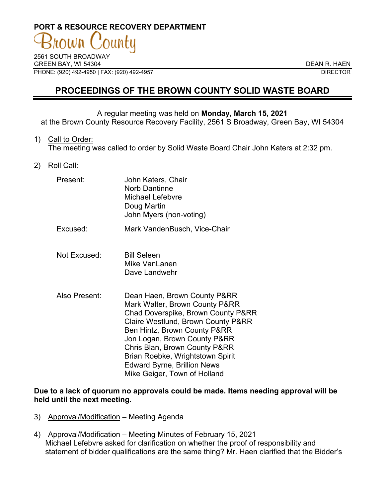# **PORT & RESOURCE RECOVERY DEPARTMENT**

2561 SOUTH BROADWAY GREEN BAY, WI 54304 DEAN R. HAEN PHONE: (920) 492-4950 | FAX: (920) 492-4957 DIRECTOR

## **PROCEEDINGS OF THE BROWN COUNTY SOLID WASTE BOARD**

#### A regular meeting was held on **Monday, March 15, 2021**

at the Brown County Resource Recovery Facility, 2561 S Broadway, Green Bay, WI 54304

1) Call to Order:

The meeting was called to order by Solid Waste Board Chair John Katers at 2:32 pm.

2) Roll Call:

| Present: | John Katers, Chair      |
|----------|-------------------------|
|          | <b>Norb Dantinne</b>    |
|          | Michael Lefebvre        |
|          | Doug Martin             |
|          | John Myers (non-voting) |

- Excused: Mark VandenBusch, Vice-Chair
- Not Excused: Bill Seleen Mike Vanl anen Dave Landwehr
- Also Present: Dean Haen, Brown County P&RR Mark Walter, Brown County P&RR Chad Doverspike, Brown County P&RR Claire Westlund, Brown County P&RR Ben Hintz, Brown County P&RR Jon Logan, Brown County P&RR Chris Blan, Brown County P&RR Brian Roebke, Wrightstown Spirit Edward Byrne, Brillion News Mike Geiger, Town of Holland

**Due to a lack of quorum no approvals could be made. Items needing approval will be held until the next meeting.**

- 3) Approval/Modification Meeting Agenda
- 4) Approval/Modification Meeting Minutes of February 15, 2021 Michael Lefebvre asked for clarification on whether the proof of responsibility and statement of bidder qualifications are the same thing? Mr. Haen clarified that the Bidder's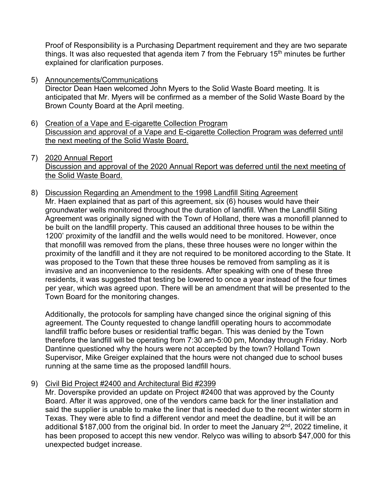Proof of Responsibility is a Purchasing Department requirement and they are two separate things. It was also requested that agenda item  $7$  from the February 15<sup>th</sup> minutes be further explained for clarification purposes.

5) Announcements/Communications

Director Dean Haen welcomed John Myers to the Solid Waste Board meeting. It is anticipated that Mr. Myers will be confirmed as a member of the Solid Waste Board by the Brown County Board at the April meeting.

- 6) Creation of a Vape and E-cigarette Collection Program Discussion and approval of a Vape and E-cigarette Collection Program was deferred until the next meeting of the Solid Waste Board.
- 7) 2020 Annual Report Discussion and approval of the 2020 Annual Report was deferred until the next meeting of the Solid Waste Board.
- 8) Discussion Regarding an Amendment to the 1998 Landfill Siting Agreement Mr. Haen explained that as part of this agreement, six (6) houses would have their groundwater wells monitored throughout the duration of landfill. When the Landfill Siting Agreement was originally signed with the Town of Holland, there was a monofill planned to be built on the landfill property. This caused an additional three houses to be within the 1200' proximity of the landfill and the wells would need to be monitored. However, once that monofill was removed from the plans, these three houses were no longer within the proximity of the landfill and it they are not required to be monitored according to the State. It was proposed to the Town that these three houses be removed from sampling as it is invasive and an inconvenience to the residents. After speaking with one of these three residents, it was suggested that testing be lowered to once a year instead of the four times per year, which was agreed upon. There will be an amendment that will be presented to the Town Board for the monitoring changes.

Additionally, the protocols for sampling have changed since the original signing of this agreement. The County requested to change landfill operating hours to accommodate landfill traffic before buses or residential traffic began. This was denied by the Town therefore the landfill will be operating from 7:30 am-5:00 pm, Monday through Friday. Norb Dantinne questioned why the hours were not accepted by the town? Holland Town Supervisor, Mike Greiger explained that the hours were not changed due to school buses running at the same time as the proposed landfill hours.

9) Civil Bid Project #2400 and Architectural Bid #2399

Mr. Doverspike provided an update on Project #2400 that was approved by the County Board. After it was approved, one of the vendors came back for the liner installation and said the supplier is unable to make the liner that is needed due to the recent winter storm in Texas. They were able to find a different vendor and meet the deadline, but it will be an additional \$187,000 from the original bid. In order to meet the January 2<sup>nd</sup>, 2022 timeline, it has been proposed to accept this new vendor. Relyco was willing to absorb \$47,000 for this unexpected budget increase.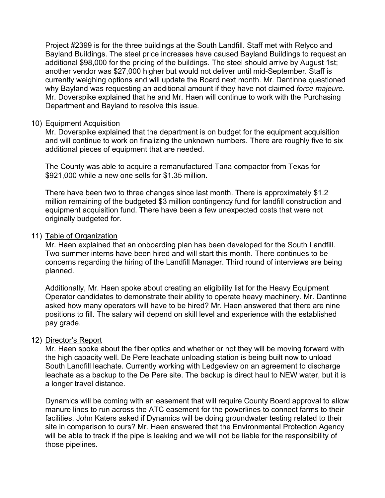Project #2399 is for the three buildings at the South Landfill. Staff met with Relyco and Bayland Buildings. The steel price increases have caused Bayland Buildings to request an additional \$98,000 for the pricing of the buildings. The steel should arrive by August 1st; another vendor was \$27,000 higher but would not deliver until mid-September. Staff is currently weighing options and will update the Board next month. Mr. Dantinne questioned why Bayland was requesting an additional amount if they have not claimed *force majeure*. Mr. Doverspike explained that he and Mr. Haen will continue to work with the Purchasing Department and Bayland to resolve this issue.

#### 10) Equipment Acquisition

Mr. Doverspike explained that the department is on budget for the equipment acquisition and will continue to work on finalizing the unknown numbers. There are roughly five to six additional pieces of equipment that are needed.

The County was able to acquire a remanufactured Tana compactor from Texas for \$921,000 while a new one sells for \$1.35 million.

There have been two to three changes since last month. There is approximately \$1.2 million remaining of the budgeted \$3 million contingency fund for landfill construction and equipment acquisition fund. There have been a few unexpected costs that were not originally budgeted for.

#### 11) Table of Organization

Mr. Haen explained that an onboarding plan has been developed for the South Landfill. Two summer interns have been hired and will start this month. There continues to be concerns regarding the hiring of the Landfill Manager. Third round of interviews are being planned.

Additionally, Mr. Haen spoke about creating an eligibility list for the Heavy Equipment Operator candidates to demonstrate their ability to operate heavy machinery. Mr. Dantinne asked how many operators will have to be hired? Mr. Haen answered that there are nine positions to fill. The salary will depend on skill level and experience with the established pay grade.

### 12) Director's Report

Mr. Haen spoke about the fiber optics and whether or not they will be moving forward with the high capacity well. De Pere leachate unloading station is being built now to unload South Landfill leachate. Currently working with Ledgeview on an agreement to discharge leachate as a backup to the De Pere site. The backup is direct haul to NEW water, but it is a longer travel distance.

Dynamics will be coming with an easement that will require County Board approval to allow manure lines to run across the ATC easement for the powerlines to connect farms to their facilities. John Katers asked if Dynamics will be doing groundwater testing related to their site in comparison to ours? Mr. Haen answered that the Environmental Protection Agency will be able to track if the pipe is leaking and we will not be liable for the responsibility of those pipelines.